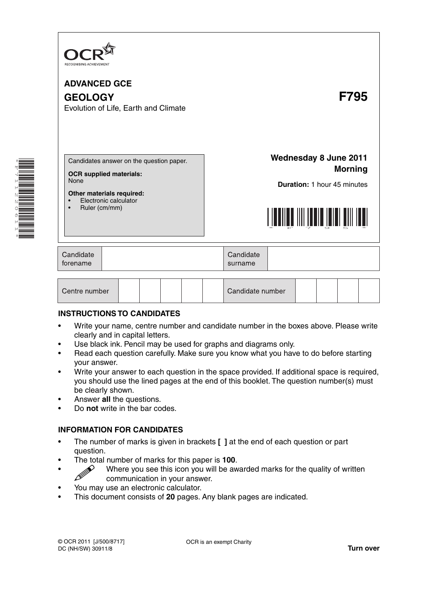

\*F711220611\*

**ADVANCED GCE GEOLOGY F795** Evolution of Life, Earth and Climate **Wednesday 8 June 2011** Candidates answer on the question paper. **Morning OCR supplied materials:** None **Duration:** 1 hour 45 minutes **Other materials required:** • Electronic calculator • Ruler (cm/mm) \*F795\* Candidate Candidate forename surname Centre number Candidate number

### **INSTRUCTIONS TO CANDIDATES**

- Write your name, centre number and candidate number in the boxes above. Please write clearly and in capital letters.
- Use black ink. Pencil may be used for graphs and diagrams only.
- Read each question carefully. Make sure you know what you have to do before starting your answer.
- Write your answer to each question in the space provided. If additional space is required, you should use the lined pages at the end of this booklet. The question number(s) must be clearly shown.
- Answer **all** the questions.
- Do **not** write in the bar codes.

#### **INFORMATION FOR CANDIDATES**

- The number of marks is given in brackets **[ ]** at the end of each question or part question.
- The total number of marks for this paper is **100**.
- Where you see this icon you will be awarded marks for the quality of written communication in your answer communication in your answer.
- You may use an electronic calculator.
- This document consists of **20** pages. Any blank pages are indicated.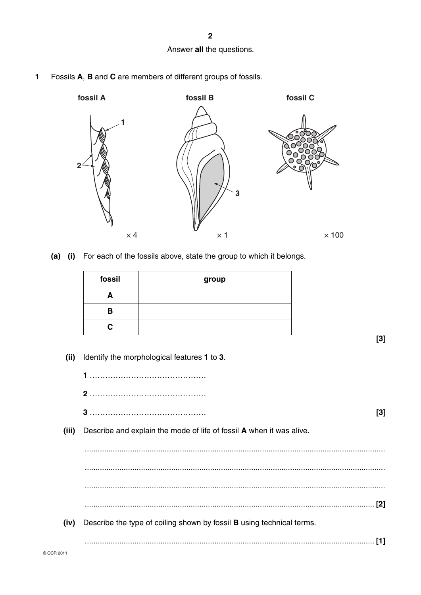**2**

## Answer **all** the questions.

**1** Fossils **A**, **B** and **C** are members of different groups of fossils.



 **(a) (i)** For each of the fossils above, state the group to which it belongs.

| fossil | group |
|--------|-------|
| A      |       |
| в      |       |
| C      |       |

**[3]**

 **(ii)** Identify the morphological features **1** to **3**.

|            | [3]                                                                          |  |
|------------|------------------------------------------------------------------------------|--|
| (iii)      | Describe and explain the mode of life of fossil A when it was alive.         |  |
|            |                                                                              |  |
|            |                                                                              |  |
|            |                                                                              |  |
|            |                                                                              |  |
| (iv)       | Describe the type of coiling shown by fossil <b>B</b> using technical terms. |  |
|            | [1]                                                                          |  |
| © OCR 2011 |                                                                              |  |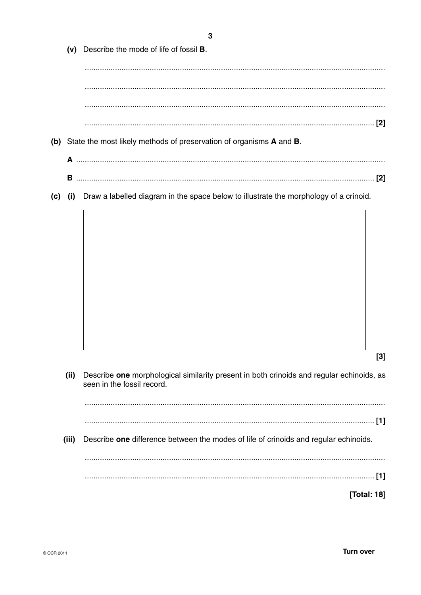|     |       | 3                                                                                                                      |       |
|-----|-------|------------------------------------------------------------------------------------------------------------------------|-------|
|     | (v)   | Describe the mode of life of fossil <b>B</b> .                                                                         |       |
|     |       |                                                                                                                        |       |
|     |       |                                                                                                                        |       |
|     |       |                                                                                                                        |       |
|     |       |                                                                                                                        |       |
|     |       | (b) State the most likely methods of preservation of organisms A and B.                                                |       |
|     |       |                                                                                                                        |       |
|     | В     |                                                                                                                        |       |
| (c) | (i)   | Draw a labelled diagram in the space below to illustrate the morphology of a crinoid.                                  |       |
|     |       |                                                                                                                        |       |
|     |       |                                                                                                                        |       |
|     |       |                                                                                                                        |       |
|     |       |                                                                                                                        |       |
|     |       |                                                                                                                        |       |
|     |       |                                                                                                                        |       |
|     |       |                                                                                                                        |       |
|     |       |                                                                                                                        |       |
|     |       |                                                                                                                        |       |
|     |       |                                                                                                                        | $[3]$ |
|     | (ii)  | Describe one morphological similarity present in both crinoids and regular echinoids, as<br>seen in the fossil record. |       |
|     |       |                                                                                                                        |       |
|     |       |                                                                                                                        |       |
|     | (iii) | Describe one difference between the modes of life of crinoids and regular echinoids.                                   |       |
|     |       |                                                                                                                        |       |
|     |       | [Total: 18]                                                                                                            |       |
|     |       |                                                                                                                        |       |
|     |       |                                                                                                                        |       |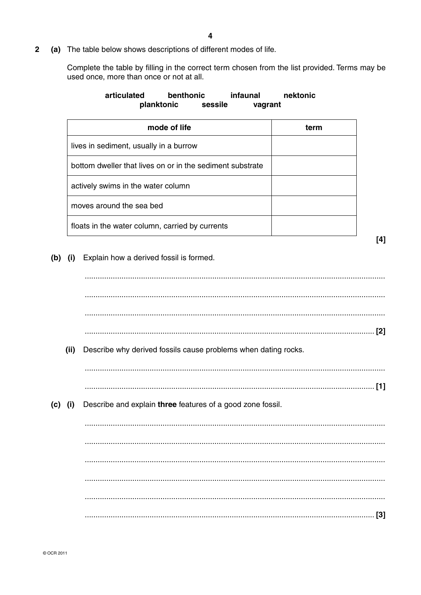$\overline{2}$ (a) The table below shows descriptions of different modes of life.

> Complete the table by filling in the correct term chosen from the list provided. Terms may be used once, more than once or not at all.

|         |      | benthonic<br>articulated<br>infaunal<br>planktonic<br>sessile<br>vagrant | nektonic |
|---------|------|--------------------------------------------------------------------------|----------|
|         |      | mode of life                                                             | term     |
|         |      | lives in sediment, usually in a burrow                                   |          |
|         |      | bottom dweller that lives on or in the sediment substrate                |          |
|         |      | actively swims in the water column                                       |          |
|         |      | moves around the sea bed                                                 |          |
|         |      | floats in the water column, carried by currents                          |          |
|         |      |                                                                          | [4]      |
| (b)     | (i)  | Explain how a derived fossil is formed.                                  |          |
|         |      |                                                                          |          |
|         |      |                                                                          |          |
|         |      |                                                                          |          |
|         | (ii) | Describe why derived fossils cause problems when dating rocks.           |          |
|         |      |                                                                          | $[1]$    |
| (c) (i) |      | Describe and explain three features of a good zone fossil.               |          |
|         |      |                                                                          |          |
|         |      |                                                                          |          |
|         |      |                                                                          |          |
|         |      |                                                                          |          |
|         |      |                                                                          |          |
|         |      |                                                                          |          |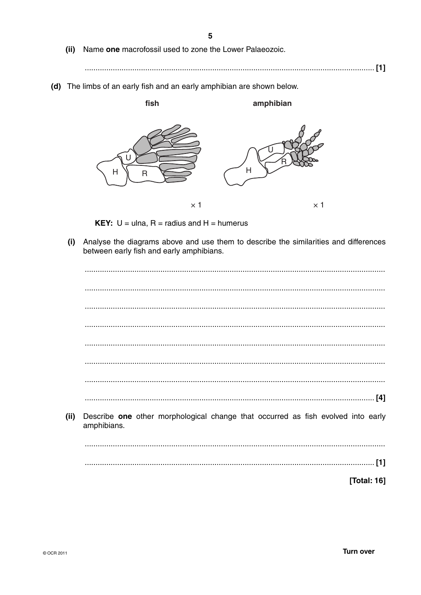- (ii) Name one macrofossil used to zone the Lower Palaeozoic.
- 
- (d) The limbs of an early fish and an early amphibian are shown below.



**KEY:**  $U =$  ulna,  $R =$  radius and  $H =$  humerus

(i) Analyse the diagrams above and use them to describe the similarities and differences between early fish and early amphibians.

| (ii) | Describe one other morphological change that occurred as fish evolved into early<br>amphibians. |
|------|-------------------------------------------------------------------------------------------------|
|      |                                                                                                 |
|      | $[1]$                                                                                           |
|      | [Total: 16]                                                                                     |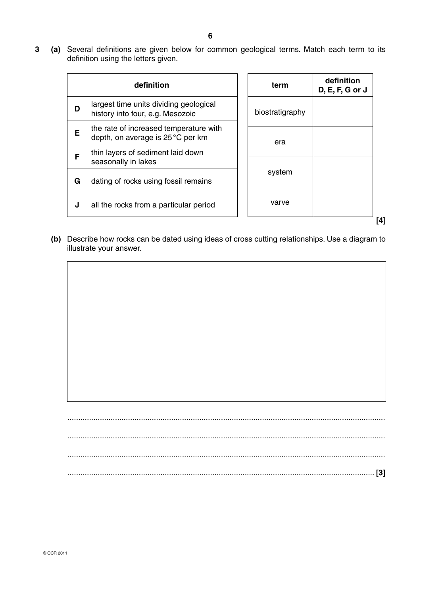**3 (a)** Several definitions are given below for common geological terms. Match each term to its definition using the letters given.

|   | definition                                                                  | term            | definition<br>$D, E, F, G$ or $J$ |
|---|-----------------------------------------------------------------------------|-----------------|-----------------------------------|
| D | largest time units dividing geological<br>history into four, e.g. Mesozoic  | biostratigraphy |                                   |
| Е | the rate of increased temperature with<br>depth, on average is 25 °C per km | era             |                                   |
| F | thin layers of sediment laid down<br>seasonally in lakes                    |                 |                                   |
| G | dating of rocks using fossil remains                                        | system          |                                   |
| J | all the rocks from a particular period                                      | varve           |                                   |
|   |                                                                             |                 |                                   |

 **(b)** Describe how rocks can be dated using ideas of cross cutting relationships. Use a diagram to illustrate your answer.

| $[3]$ |
|-------|
|       |
|       |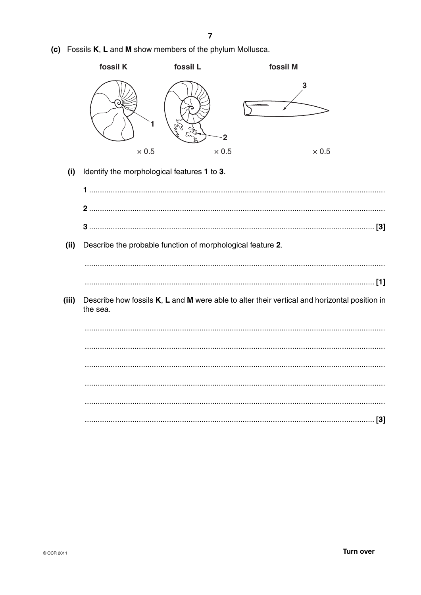|       | fossil K                                    | fossil L                                                   | fossil M |                                                                                              |
|-------|---------------------------------------------|------------------------------------------------------------|----------|----------------------------------------------------------------------------------------------|
|       |                                             | vs<br>Ch                                                   |          | 3                                                                                            |
|       | $\times 0.5$                                | $\times 0.5$                                               |          | $\times 0.5$                                                                                 |
| (i)   | Identify the morphological features 1 to 3. |                                                            |          |                                                                                              |
|       |                                             |                                                            |          |                                                                                              |
|       |                                             |                                                            |          |                                                                                              |
|       |                                             |                                                            |          |                                                                                              |
| (ii)  |                                             | Describe the probable function of morphological feature 2. |          |                                                                                              |
|       |                                             |                                                            |          |                                                                                              |
|       |                                             |                                                            |          |                                                                                              |
| (iii) | the sea.                                    |                                                            |          | Describe how fossils K, L and M were able to alter their vertical and horizontal position in |
|       |                                             |                                                            |          |                                                                                              |
|       |                                             |                                                            |          |                                                                                              |
|       |                                             |                                                            |          |                                                                                              |
|       |                                             |                                                            |          |                                                                                              |
|       |                                             |                                                            |          |                                                                                              |
|       |                                             |                                                            |          |                                                                                              |

(c) Fossils K, L and M show members of the phylum Mollusca.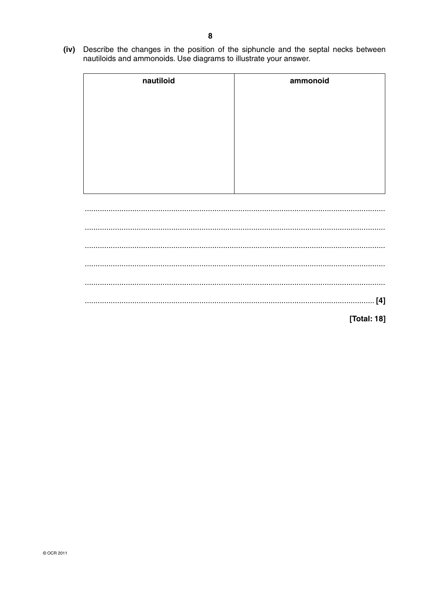(iv) Describe the changes in the position of the siphuncle and the septal necks between nautiloids and ammonoids. Use diagrams to illustrate your answer.

| nautiloid | ammonoid   |  |  |  |  |
|-----------|------------|--|--|--|--|
|           |            |  |  |  |  |
|           |            |  |  |  |  |
|           |            |  |  |  |  |
|           |            |  |  |  |  |
|           |            |  |  |  |  |
|           |            |  |  |  |  |
|           |            |  |  |  |  |
|           |            |  |  |  |  |
|           |            |  |  |  |  |
|           |            |  |  |  |  |
|           |            |  |  |  |  |
|           |            |  |  |  |  |
|           |            |  |  |  |  |
|           |            |  |  |  |  |
|           |            |  |  |  |  |
|           |            |  |  |  |  |
|           |            |  |  |  |  |
|           |            |  |  |  |  |
|           |            |  |  |  |  |
|           |            |  |  |  |  |
|           |            |  |  |  |  |
|           |            |  |  |  |  |
|           | $[4]$<br>. |  |  |  |  |

[Total: 18]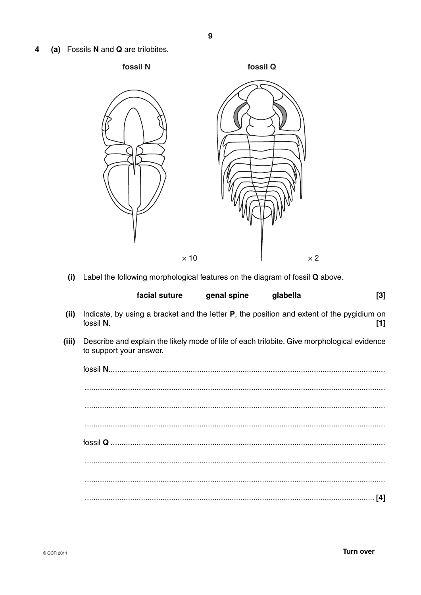(a) Fossils N and Q are trilobites.  $\overline{\mathbf{4}}$ 



Label the following morphological features on the diagram of fossil Q above.  $(i)$ 

|       | facial suture                                                                                                          | genal spine | glabella | $[3]$ |
|-------|------------------------------------------------------------------------------------------------------------------------|-------------|----------|-------|
| (ii)  | Indicate, by using a bracket and the letter $P$ , the position and extent of the pygidium on<br>fossil N.              |             |          | $[1]$ |
| (iii) | Describe and explain the likely mode of life of each trilobite. Give morphological evidence<br>to support your answer. |             |          |       |
|       |                                                                                                                        |             |          |       |
|       |                                                                                                                        |             |          |       |
|       |                                                                                                                        |             |          |       |
|       |                                                                                                                        |             |          |       |
|       |                                                                                                                        |             |          |       |
|       |                                                                                                                        |             |          |       |
|       |                                                                                                                        |             |          |       |
|       |                                                                                                                        |             |          | [4]   |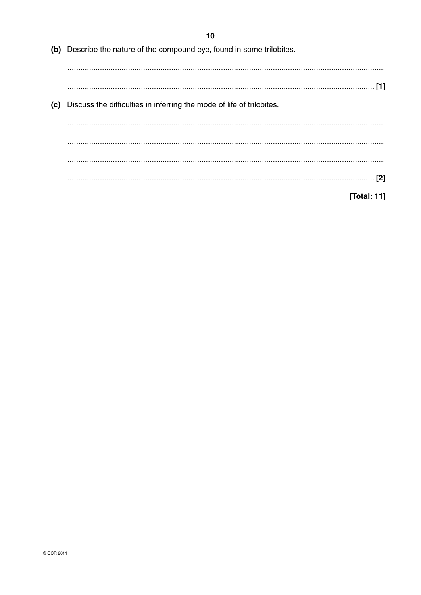|     | (b) Describe the nature of the compound eye, found in some trilobites. |
|-----|------------------------------------------------------------------------|
|     |                                                                        |
| (c) | Discuss the difficulties in inferring the mode of life of trilobites.  |
|     |                                                                        |
|     |                                                                        |
|     |                                                                        |
|     | [Total: 11]                                                            |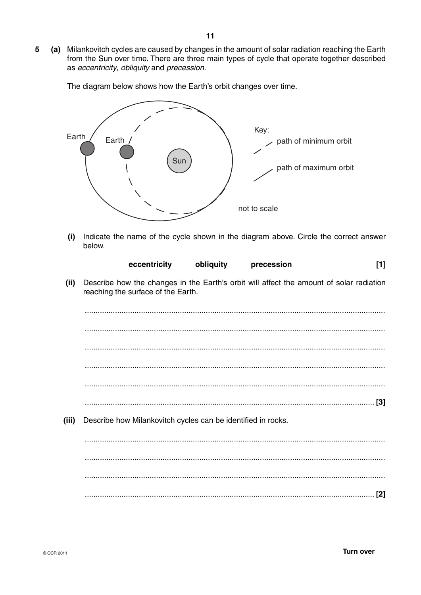5 (a) Milankovitch cycles are caused by changes in the amount of solar radiation reaching the Earth from the Sun over time. There are three main types of cycle that operate together described as eccentricity, obliquity and precession.

The diagram below shows how the Earth's orbit changes over time.



Indicate the name of the cycle shown in the diagram above. Circle the correct answer  $(i)$ below.

| eccentricity | obliquity | precession | $\left[ 1\right] % \includegraphics[width=0.9\columnwidth]{figures/fig_10.pdf} \caption{The number of parameters of the estimators in the left shows the number of parameters. The number of parameters are shown in the right shows the number of parameters. The number of features are shown in the right shows the number of parameters.} \label{fig:time}$ |  |
|--------------|-----------|------------|-----------------------------------------------------------------------------------------------------------------------------------------------------------------------------------------------------------------------------------------------------------------------------------------------------------------------------------------------------------------|--|
|--------------|-----------|------------|-----------------------------------------------------------------------------------------------------------------------------------------------------------------------------------------------------------------------------------------------------------------------------------------------------------------------------------------------------------------|--|

Describe how the changes in the Earth's orbit will affect the amount of solar radiation  $(ii)$ reaching the surface of the Earth.

 $(iii)$ Describe how Milankovitch cycles can be identified in rocks.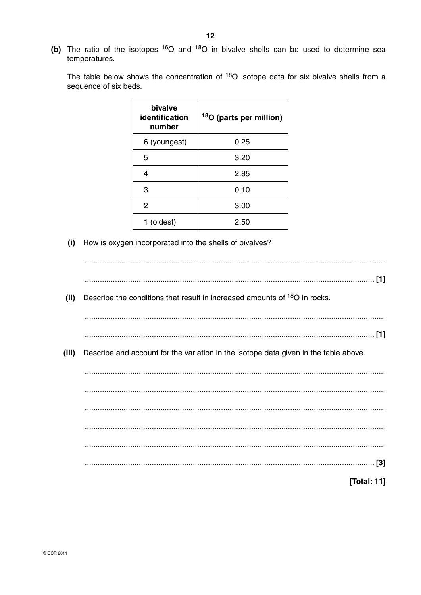(b) The ratio of the isotopes <sup>16</sup>O and <sup>18</sup>O in bivalve shells can be used to determine sea temperatures.

The table below shows the concentration of <sup>18</sup>O isotope data for six bivalve shells from a sequence of six beds.

| bivalve<br>identification<br>number | <sup>18</sup> O (parts per million) |
|-------------------------------------|-------------------------------------|
| 6 (youngest)                        | 0.25                                |
| 5                                   | 3.20                                |
| 4                                   | 2.85                                |
| 3                                   | 0.10                                |
| 2                                   | 3.00                                |
| 1 (oldest)                          | 2.50                                |

(i) How is oxygen incorporated into the shells of bivalves?

| Describe the conditions that result in increased amounts of <sup>18</sup> O in rocks.<br>(ii) |  |
|-----------------------------------------------------------------------------------------------|--|
|                                                                                               |  |
|                                                                                               |  |
|                                                                                               |  |
| (iii)<br>Describe and account for the variation in the isotope data given in the table above. |  |
|                                                                                               |  |
|                                                                                               |  |
|                                                                                               |  |
|                                                                                               |  |
|                                                                                               |  |
|                                                                                               |  |
|                                                                                               |  |
|                                                                                               |  |
|                                                                                               |  |
| [Total: 11]                                                                                   |  |
|                                                                                               |  |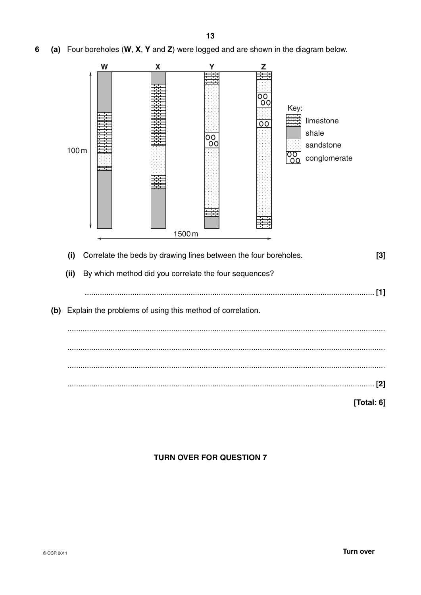

(a) Four boreholes (W, X, Y and Z) were logged and are shown in the diagram below.  $6\phantom{1}6$ 



### **TURN OVER FOR QUESTION 7**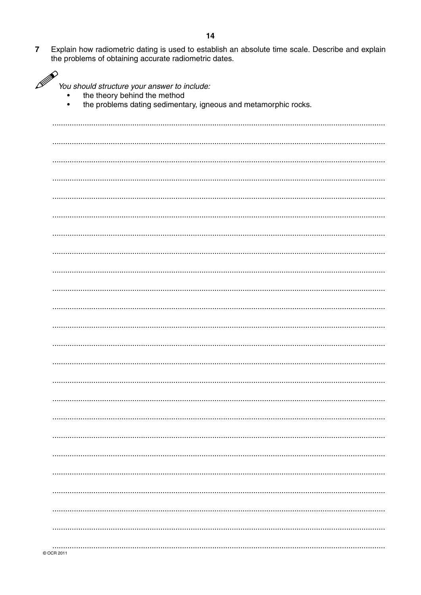Explain how radiometric dating is used to establish an absolute time scale. Describe and explain the problems of obtaining accurate radiometric dates.  $\overline{7}$ 

| P | You should structure your answer to include:<br>the theory behind the method<br>$\bullet$<br>the problems dating sedimentary, igneous and metamorphic rocks. |
|---|--------------------------------------------------------------------------------------------------------------------------------------------------------------|
|   |                                                                                                                                                              |
|   |                                                                                                                                                              |
|   |                                                                                                                                                              |
|   |                                                                                                                                                              |
|   |                                                                                                                                                              |
|   |                                                                                                                                                              |
|   |                                                                                                                                                              |
|   |                                                                                                                                                              |
|   |                                                                                                                                                              |
|   |                                                                                                                                                              |
|   |                                                                                                                                                              |
|   |                                                                                                                                                              |
|   |                                                                                                                                                              |
|   |                                                                                                                                                              |
|   |                                                                                                                                                              |
|   |                                                                                                                                                              |
|   |                                                                                                                                                              |
|   |                                                                                                                                                              |
|   |                                                                                                                                                              |
|   |                                                                                                                                                              |
|   |                                                                                                                                                              |
|   |                                                                                                                                                              |
|   |                                                                                                                                                              |
|   |                                                                                                                                                              |
|   |                                                                                                                                                              |
|   |                                                                                                                                                              |
|   |                                                                                                                                                              |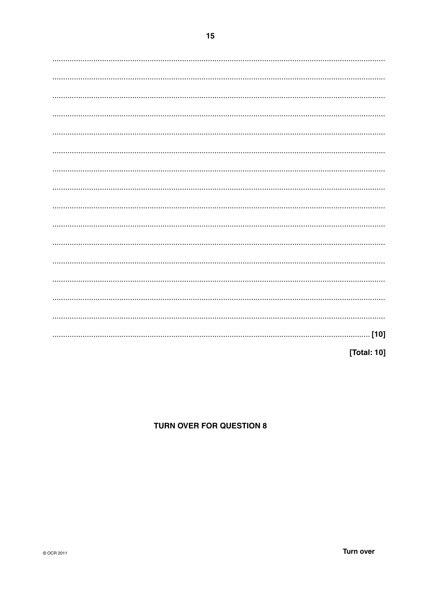[Total: 10]

## **TURN OVER FOR QUESTION 8**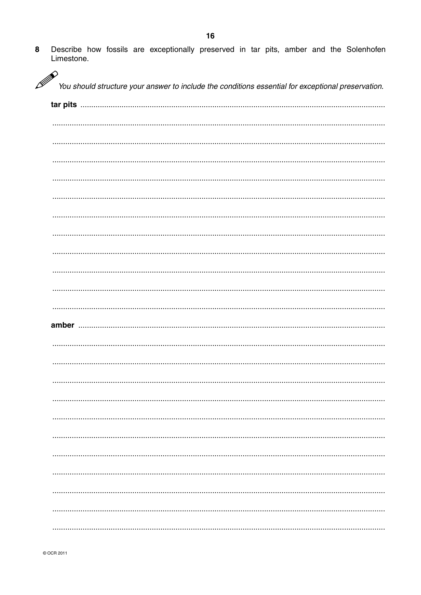$\bf{8}$ Describe how fossils are exceptionally preserved in tar pits, amber and the Solenhofen Limestone.

| P | You should structure your answer to include the conditions essential for exceptional preservation. |
|---|----------------------------------------------------------------------------------------------------|
|   |                                                                                                    |
|   |                                                                                                    |
|   |                                                                                                    |
|   |                                                                                                    |
|   |                                                                                                    |
|   |                                                                                                    |
|   |                                                                                                    |
|   |                                                                                                    |
|   |                                                                                                    |
|   |                                                                                                    |
|   |                                                                                                    |
|   |                                                                                                    |
|   |                                                                                                    |
|   |                                                                                                    |
|   |                                                                                                    |
|   |                                                                                                    |
|   |                                                                                                    |
|   |                                                                                                    |
|   |                                                                                                    |
|   |                                                                                                    |
|   |                                                                                                    |
|   |                                                                                                    |
|   |                                                                                                    |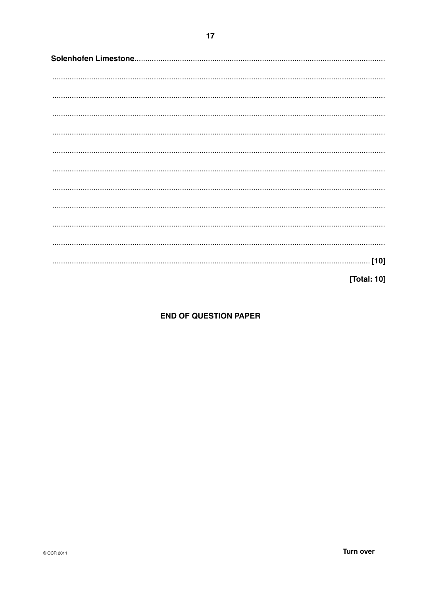[Total: 10]

## **END OF QUESTION PAPER**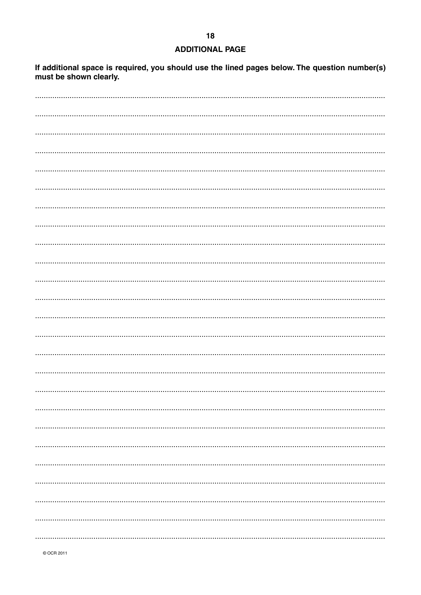# $18$ **ADDITIONAL PAGE**

If additional space is required, you should use the lined pages below. The question number(s) must be shown clearly.

© OCR 2011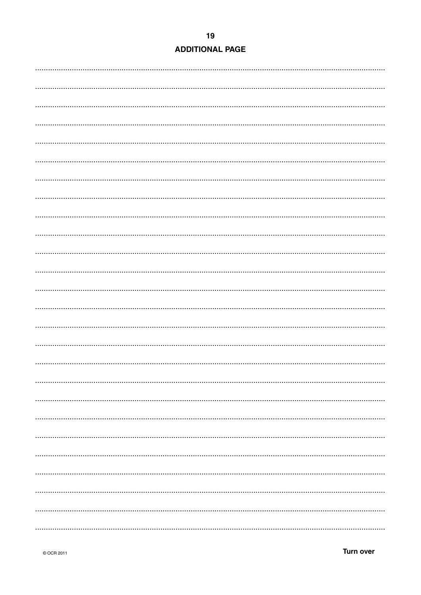## **ADDITIONAL PAGE**